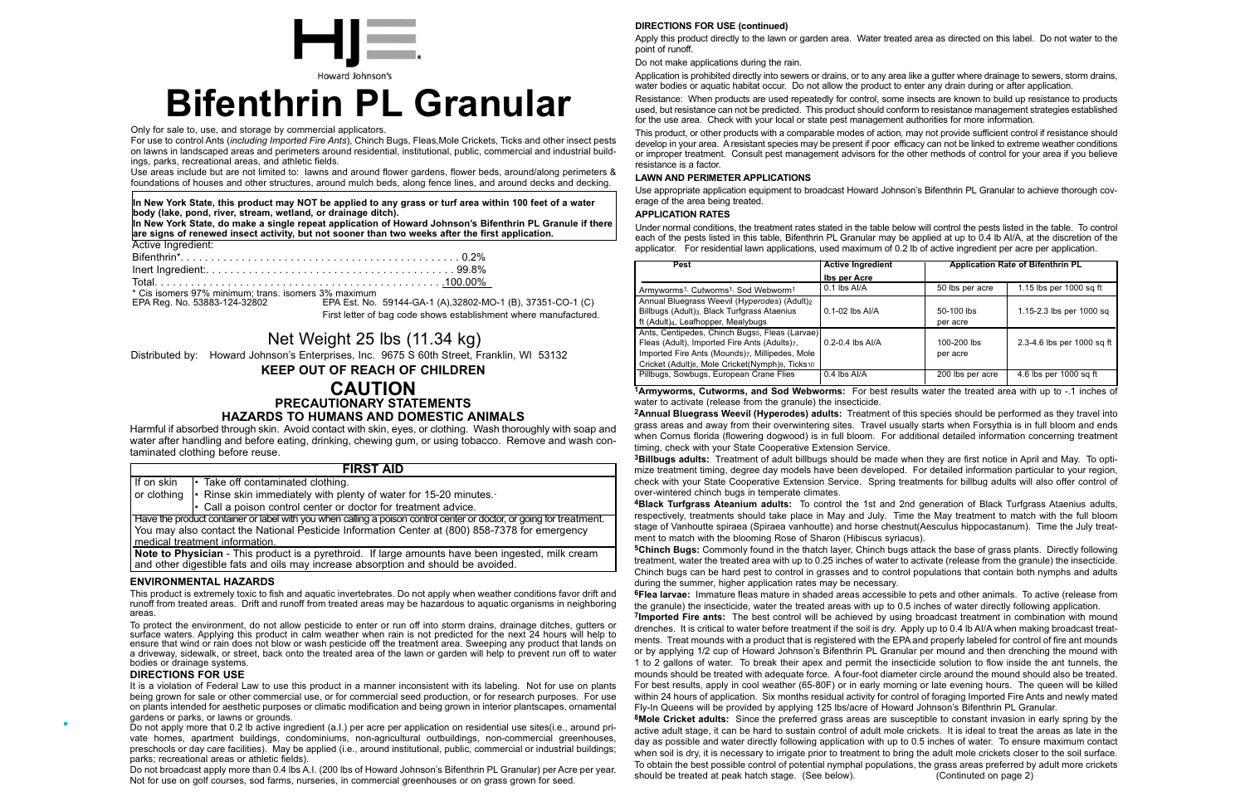Only for sale to, use, and storage by commercial applicators.

For use to control Ants (*including Imported Fire Ants*), Chinch Bugs, Fleas,Mole Crickets, Ticks and other insect pests on lawns in landscaped areas and perimeters around residential, institutional, public, commercial and industrial buildings, parks, recreational areas, and athletic fields.

Use areas include but are not limited to: lawns and around flower gardens, flower beds, around/along perimeters & foundations of houses and other structures, around mulch beds, along fence lines, and around decks and decking.



# **Bifenthrin PL Granular**

| Active Ingredient:                                   |  |
|------------------------------------------------------|--|
|                                                      |  |
|                                                      |  |
|                                                      |  |
| * Cis isomers 97% minimum; trans. isomers 3% maximum |  |

EPA Reg. No. 53883-124-32802 EPA Est. No. 59144-GA-1 (A),32802-MO-1 (B), 37351-CO-1 (C) First letter of bag code shows establishment where manufactured.

# Net Weight 25 lbs (11.34 kg)

**KEEP OUT OF REACH OF CHILDREN**

# **CAUTION PRECAUTIONARY STATEMENTS HAZARDS TO HUMANS AND DOMESTIC ANIMALS**

Harmful if absorbed through skin. Avoid contact with skin, eyes, or clothing. Wash thoroughly with soap and water after handling and before eating, drinking, chewing gum, or using tobacco. Remove and wash contaminated clothing before reuse.

### **ENVIRONMENTAL HAZARDS**

This product is extremely toxic to fish and aquatic invertebrates. Do not apply when weather conditions favor drift and runoff from treated areas. Drift and runoff from treated areas may be hazardous to aquatic organisms in neighboring areas.

To protect the environment, do not allow pesticide to enter or run off into storm drains, drainage ditches, gutters or surface waters. Applying this product in calm weather when rain is not predicted for the next 24 hours will help to ensure that wind or rain does not blow or wash pesticide off the treatment area. Sweeping any product that lands on a driveway, sidewalk, or street, back onto the treated area of the lawn or garden will help to prevent run off to water bodies or drainage systems.

|             | <b>FIRST AID</b>                                                                                                     |
|-------------|----------------------------------------------------------------------------------------------------------------------|
| If on skin  | $\cdot$ Take off contaminated clothing.                                                                              |
| or clothing | $\cdot$ Rinse skin immediately with plenty of water for 15-20 minutes.                                               |
|             | • Call a poison control center or doctor for treatment advice.                                                       |
|             | Have the product container or label with you when calling a poison control center or doctor, or going for treatment. |
|             | You may also contact the National Pesticide Information Center at (800) 858-7378 for emergency                       |
|             | medical treatment information.                                                                                       |
|             | Note to Physician. This product is a pyrothroid. If large amounts have been ingested, milk croam                     |

**Note to Physician** - This product is a pyrethroid. It large amounts have been ingested, milk cream and other digestible fats and oils may increase absorption and should be avoided.

#### **DIRECTIONS FOR USE (continued)**

Apply this product directly to the lawn or garden area. Water treated area as directed on this label. Do not water to the point of runoff.

Do not make applications during the rain.

Application is prohibited directly into sewers or drains, or to any area like a gutter where drainage to sewers, storm drains, water bodies or aquatic habitat occur. Do not allow the product to enter any drain during or after application. Resistance: When products are used repeatedly for control, some insects are known to build up resistance to products used, but resistance can not be predicted. This product should conform to resistance management strategies established for the use area. Check with your local or state pest management authorities for more information.

This product, or other products with a comparable modes of action, may not provide sufficient control if resistance should develop in your area. A resistant species may be present if poor efficacy can not be linked to extreme weather conditions or improper treatment. Consult pest management advisors for the other methods of control for your area if you believe resistance is a factor.

#### **LAWN AND PERIMETER APPLICATIONS**

Use appropriate application equipment to broadcast Howard Johnson's Bifenthrin PL Granular to achieve thorough coverage of the area being treated.

#### **APPLICATION RATES**

Under normal conditions, the treatment rates stated in the table below will control the pests listed in the table. To control each of the pests listed in this table, Bifenthrin PL Granular may be applied at up to 0.4 lb AI/A, at the discretion of the applicator. For residential lawn applications, used maximum of 0.2 lb of active ingredient per acre per application.

| Pest                                                                                  | <b>Active Ingredient</b> |                  | <b>Application Rate of Bifenthrin PL</b> |
|---------------------------------------------------------------------------------------|--------------------------|------------------|------------------------------------------|
|                                                                                       | <b>Ibs per Acre</b>      |                  |                                          |
| Armyworms <sup>1,</sup> Cutworms <sup>1,</sup> Sod Webworm <sup>1</sup>               | 0.1 lbs Al/A             | 50 lbs per acre  | 1.15 lbs per 1000 sq ft                  |
| Annual Bluegrass Weevil (Hyperodes) (Adult) <sub>2</sub>                              |                          |                  |                                          |
| Billbugs (Adult) <sub>3</sub> . Black Turfgrass Ataenius                              | $0.1 - 02$ lbs Al/A      | 50-100 lbs       | 1.15-2.3 lbs per 1000 sq                 |
| ft (Adult) <sub>4</sub> , Leafhopper, Mealybugs                                       |                          | per acre         |                                          |
| Ants, Centipedes, Chinch Bugs <sub>5</sub> , Fleas (Larvae)                           |                          |                  |                                          |
| Fleas (Adult), Imported Fire Ants (Adults)7,                                          | $0.2 - 0.4$ lbs Al/A     | 100-200 lbs      | 2.3-4.6 lbs per 1000 sq ft               |
| Imported Fire Ants (Mounds)7, Millipedes, Mole                                        |                          | per acre         |                                          |
| Cricket (Adult) <sub>8</sub> , Mole Cricket(Nymph) <sub>9</sub> , Ticks <sub>10</sub> |                          |                  |                                          |
| Pillbugs, Sowbugs, European Crane Flies                                               | 0.4 lbs Al/A             | 200 lbs per acre | 4.6 lbs per 1000 sq ft                   |
|                                                                                       |                          |                  |                                          |

Distributed by: Howard Johnson's Enterprises, Inc. 9675 S 60th Street, Franklin, WI 53132

**In New York State, this product may NOT be applied to any grass or turf area within 100 feet of a water body (lake, pond, river, stream, wetland, or drainage ditch).**

**In New York State, do make a single repeat application of Howard Johnson's Bifenthrin PL Granule if there are signs of renewed insect activity, but not sooner than two weeks after the first application.**

### **DIRECTIONS FOR USE**

It is a violation of Federal Law to use this product in a manner inconsistent with its labeling. Not for use on plants being grown for sale or other commercial use, or for commercial seed production, or for research purposes. For use on plants intended for aesthetic purposes or climatic modification and being grown in interior plantscapes, ornamental gardens or parks, or lawns or grounds.

Do not apply more that 0.2 lb active ingredient (a.I.) per acre per application on residential use sites(i.e., around private homes, apartment buildings, condominiums, non-agricultural outbuildings, non-commercial greenhouses, preschools or day care facilities). May be applied (i.e., around institutional, public, commercial or industrial buildings; parks; recreational areas or athletic fields).

Do not broadcast apply more than 0.4 lbs A.I. (200 lbs of Howard Johnson's Bifenthrin PL Granular) per Acre per year. Not for use on golf courses, sod farms, nurseries, in commercial greenhouses or on grass grown for seed.

**1Armyworms, Cutworms, and Sod Webworms:** For best results water the treated area with up to -.1 inches of water to activate (release from the granule) the insecticide.

**2Annual Bluegrass Weevil (Hyperodes) adults:** Treatment of this species should be performed as they travel into grass areas and away from their overwintering sites. Travel usually starts when Forsythia is in full bloom and ends when Cornus florida (flowering dogwood) is in full bloom. For additional detailed information concerning treatment timing, check with your State Cooperative Extension Service.

**3Billbugs adults:** Treatment of adult billbugs should be made when they are first notice in April and May. To optimize treatment timing, degree day models have been developed. For detailed information particular to your region, check with your State Cooperative Extension Service. Spring treatments for billbug adults will also offer control of over-wintered chinch bugs in temperate climates.

**4Black Turfgrass Ateanium adults:** To control the 1st and 2nd generation of Black Turfgrass Ataenius adults, respectively, treatments should take place in May and July. Time the May treatment to match with the full bloom stage of Vanhoutte spiraea (Spiraea vanhoutte) and horse chestnut(Aesculus hippocastanum). Time the July treatment to match with the blooming Rose of Sharon (Hibiscus syriacus). **5Chinch Bugs:** Commonly found in the thatch layer, Chinch bugs attack the base of grass plants. Directly following treatment, water the treated area with up to 0.25 inches of water to activate (release from the granule) the insecticide. Chinch bugs can be hard pest to control in grasses and to control populations that contain both nymphs and adults during the summer, higher application rates may be necessary.

**6Flea larvae:** Immature fleas mature in shaded areas accessible to pets and other animals. To active (release from the granule) the insecticide, water the treated areas with up to 0.5 inches of water directly following application. **7Imported Fire ants:** The best control will be achieved by using broadcast treatment in combination with mound drenches. It is critical to water before treatment if the soil is dry. Apply up to 0.4 lb AI/A when making broadcast treatments. Treat mounds with a product that is registered with the EPA and properly labeled for control of fire ant mounds or by applying 1/2 cup of Howard Johnson's Bifenthrin PL Granular per mound and then drenching the mound with 1 to 2 gallons of water. To break their apex and permit the insecticide solution to flow inside the ant tunnels, the mounds should be treated with adequate force. A four-foot diameter circle around the mound should also be treated. For best results, apply in cool weather (65-80F) or in early morning or late evening hours. The queen will be killed within 24 hours of application. Six months residual activity for control of foraging Imported Fire Ants and newly mated Fly-In Queens will be provided by applying 125 lbs/acre of Howard Johnson's Bifenthrin PL Granular. **8Mole Cricket adults:** Since the preferred grass areas are susceptible to constant invasion in early spring by the active adult stage, it can be hard to sustain control of adult mole crickets. It is ideal to treat the areas as late in the day as possible and water directly following application with up to 0.5 inches of water. To ensure maximum contact when soil is dry, it is necessary to irrigate prior to treatment to bring the adult mole crickets closer to the soil surface. To obtain the best possible control of potential nymphal populations, the grass areas preferred by adult more crickets should be treated at peak hatch stage. (See below). (Continuted on page 2)